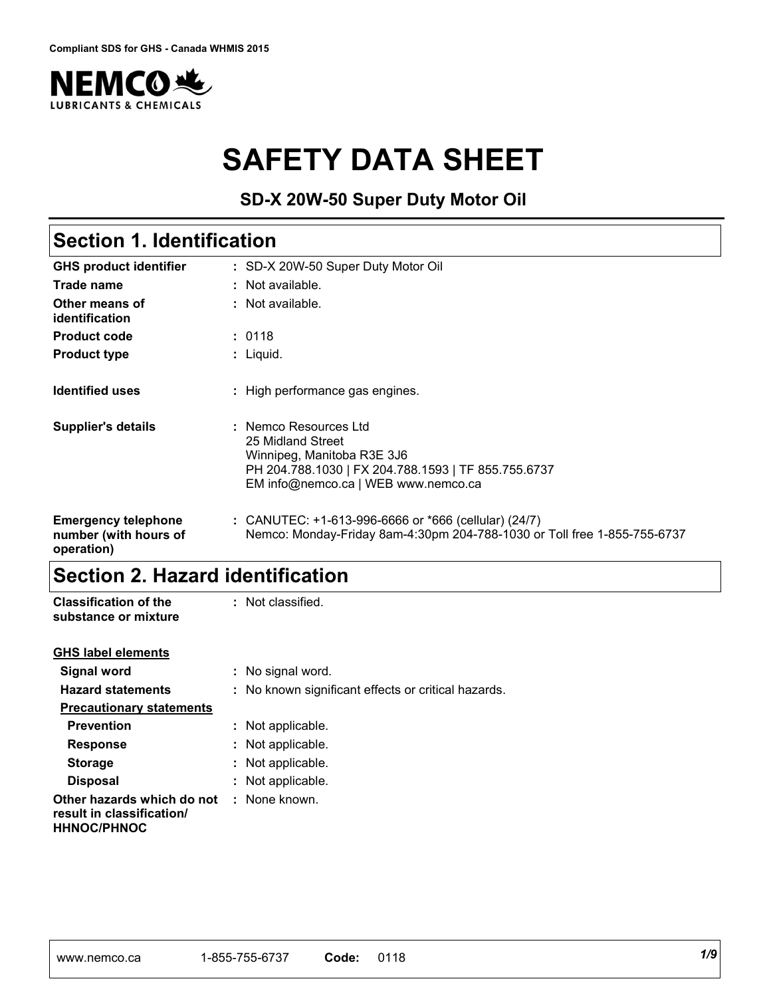

# **SAFETY DATA SHEET**

**SD-X 20W-50 Super Duty Motor Oil**

## **Section 1. Identification**

| <b>GHS product identifier</b>                                     | : SD-X 20W-50 Super Duty Motor Oil                                                                                                                                     |
|-------------------------------------------------------------------|------------------------------------------------------------------------------------------------------------------------------------------------------------------------|
| Trade name                                                        | : Not available.                                                                                                                                                       |
| Other means of<br>identification                                  | : Not available.                                                                                                                                                       |
| <b>Product code</b>                                               | : 0118                                                                                                                                                                 |
| <b>Product type</b>                                               | : Liquid.                                                                                                                                                              |
| <b>Identified uses</b>                                            | : High performance gas engines.                                                                                                                                        |
| <b>Supplier's details</b>                                         | : Nemco Resources Ltd<br>25 Midland Street<br>Winnipeg, Manitoba R3E 3J6<br>PH 204.788.1030   FX 204.788.1593   TF 855.755.6737<br>EM info@nemco.ca   WEB www.nemco.ca |
| <b>Emergency telephone</b><br>number (with hours of<br>operation) | : CANUTEC: $+1-613-996-6666$ or $*666$ (cellular) (24/7)<br>Nemco: Monday-Friday 8am-4:30pm 204-788-1030 or Toll free 1-855-755-6737                                   |

## **Section 2. Hazard identification**

| <b>Classification of the</b><br>substance or mixture                          | : Not classified.                                   |
|-------------------------------------------------------------------------------|-----------------------------------------------------|
| <b>GHS label elements</b>                                                     |                                                     |
| Signal word                                                                   | : No signal word.                                   |
| <b>Hazard statements</b>                                                      | : No known significant effects or critical hazards. |
| <b>Precautionary statements</b>                                               |                                                     |
| <b>Prevention</b>                                                             | : Not applicable.                                   |
| <b>Response</b>                                                               | : Not applicable.                                   |
| <b>Storage</b>                                                                | : Not applicable.                                   |
| <b>Disposal</b>                                                               | : Not applicable.                                   |
| Other hazards which do not<br>result in classification/<br><b>HHNOC/PHNOC</b> | : None known.                                       |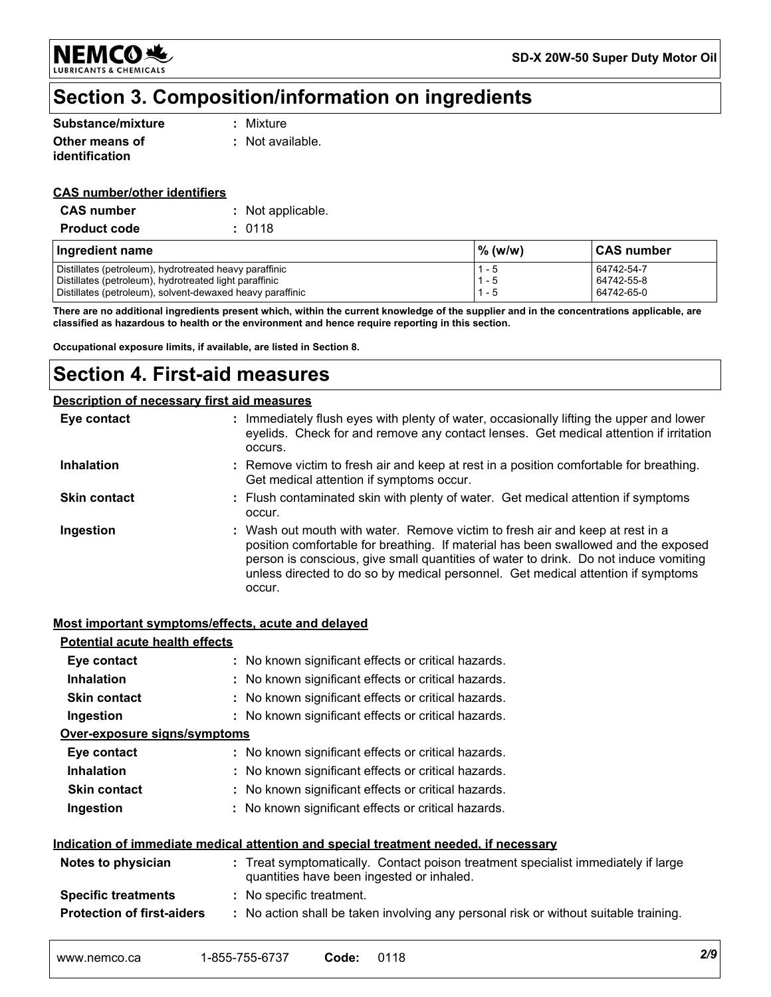**NEMCO头 LUBRICANTS & CHEMICALS** 

## **Section 3. Composition/information on ingredients**

| Substance/mixture | : Mixture        |
|-------------------|------------------|
| Other means of    | : Not available. |
| identification    |                  |

#### **CAS number/other identifiers**

| <b>CAS number</b>   | : Not applicable. |
|---------------------|-------------------|
| <b>Product code</b> | : 0118            |

| Ingredient name                                           | $%$ (w/w) | <b>CAS number</b> |
|-----------------------------------------------------------|-----------|-------------------|
| Distillates (petroleum), hydrotreated heavy paraffinic    | 1 - 5     | 64742-54-7        |
| Distillates (petroleum), hydrotreated light paraffinic    | $1 - 5$   | 64742-55-8        |
| Distillates (petroleum), solvent-dewaxed heavy paraffinic | - 5       | 64742-65-0        |

**There are no additional ingredients present which, within the current knowledge of the supplier and in the concentrations applicable, are classified as hazardous to health or the environment and hence require reporting in this section.**

**Occupational exposure limits, if available, are listed in Section 8.**

## **Section 4. First-aid measures**

#### **Description of necessary first aid measures**

| Eye contact         | : Immediately flush eyes with plenty of water, occasionally lifting the upper and lower<br>eyelids. Check for and remove any contact lenses. Get medical attention if irritation<br>occurs.                                                                                                                                                               |
|---------------------|-----------------------------------------------------------------------------------------------------------------------------------------------------------------------------------------------------------------------------------------------------------------------------------------------------------------------------------------------------------|
| <b>Inhalation</b>   | : Remove victim to fresh air and keep at rest in a position comfortable for breathing.<br>Get medical attention if symptoms occur.                                                                                                                                                                                                                        |
| <b>Skin contact</b> | : Flush contaminated skin with plenty of water. Get medical attention if symptoms<br>occur.                                                                                                                                                                                                                                                               |
| Ingestion           | : Wash out mouth with water. Remove victim to fresh air and keep at rest in a<br>position comfortable for breathing. If material has been swallowed and the exposed<br>person is conscious, give small quantities of water to drink. Do not induce vomiting<br>unless directed to do so by medical personnel. Get medical attention if symptoms<br>occur. |

#### **Most important symptoms/effects, acute and delayed**

| <b>Potential acute health effects</b>                                                       |                                                                                                                                |  |  |
|---------------------------------------------------------------------------------------------|--------------------------------------------------------------------------------------------------------------------------------|--|--|
| Eye contact                                                                                 | : No known significant effects or critical hazards.                                                                            |  |  |
| <b>Inhalation</b>                                                                           | : No known significant effects or critical hazards.                                                                            |  |  |
| <b>Skin contact</b>                                                                         | : No known significant effects or critical hazards.                                                                            |  |  |
| Ingestion                                                                                   | : No known significant effects or critical hazards.                                                                            |  |  |
| <u>Over-exposure signs/symptoms</u>                                                         |                                                                                                                                |  |  |
| Eye contact                                                                                 | : No known significant effects or critical hazards.                                                                            |  |  |
| <b>Inhalation</b>                                                                           | : No known significant effects or critical hazards.                                                                            |  |  |
| <b>Skin contact</b>                                                                         | : No known significant effects or critical hazards.                                                                            |  |  |
| Ingestion                                                                                   | : No known significant effects or critical hazards.                                                                            |  |  |
| <u>Indication of immediate medical attention and special treatment needed, if necessary</u> |                                                                                                                                |  |  |
| Notes to physician                                                                          | : Treat symptomatically. Contact poison treatment specialist immediately if large<br>quantities have been ingested or inhaled. |  |  |
| <b>Specific treatments</b>                                                                  | : No specific treatment.                                                                                                       |  |  |
| <b>Protection of first-aiders</b>                                                           | : No action shall be taken involving any personal risk or without suitable training.                                           |  |  |
|                                                                                             |                                                                                                                                |  |  |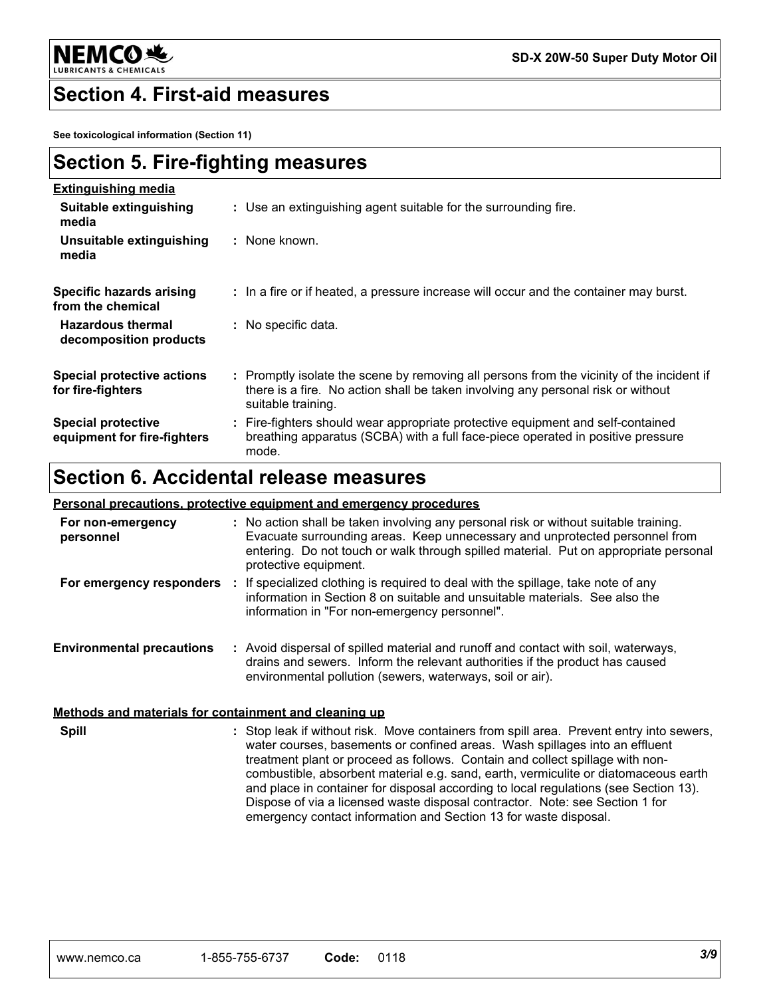

### **Section 4. First-aid measures**

**See toxicological information (Section 11)**

| <b>Section 5. Fire-fighting measures</b> |
|------------------------------------------|
|------------------------------------------|

| <b>Extinguishing media</b>                               |                                                                                                                                                                                                     |
|----------------------------------------------------------|-----------------------------------------------------------------------------------------------------------------------------------------------------------------------------------------------------|
| Suitable extinguishing<br>media                          | : Use an extinguishing agent suitable for the surrounding fire.                                                                                                                                     |
| Unsuitable extinguishing<br>media                        | : None known.                                                                                                                                                                                       |
| Specific hazards arising<br>from the chemical            | : In a fire or if heated, a pressure increase will occur and the container may burst.                                                                                                               |
| <b>Hazardous thermal</b><br>decomposition products       | $\therefore$ No specific data.                                                                                                                                                                      |
| <b>Special protective actions</b><br>for fire-fighters   | : Promptly isolate the scene by removing all persons from the vicinity of the incident if<br>there is a fire. No action shall be taken involving any personal risk or without<br>suitable training. |
| <b>Special protective</b><br>equipment for fire-fighters | : Fire-fighters should wear appropriate protective equipment and self-contained<br>breathing apparatus (SCBA) with a full face-piece operated in positive pressure<br>mode.                         |
|                                                          |                                                                                                                                                                                                     |

## **Section 6. Accidental release measures**

#### **Personal precautions, protective equipment and emergency procedures**

| For non-emergency<br>personnel   | : No action shall be taken involving any personal risk or without suitable training.<br>Evacuate surrounding areas. Keep unnecessary and unprotected personnel from<br>entering. Do not touch or walk through spilled material. Put on appropriate personal<br>protective equipment. |
|----------------------------------|--------------------------------------------------------------------------------------------------------------------------------------------------------------------------------------------------------------------------------------------------------------------------------------|
| For emergency responders         | If specialized clothing is required to deal with the spillage, take note of any<br>information in Section 8 on suitable and unsuitable materials. See also the<br>information in "For non-emergency personnel".                                                                      |
| <b>Environmental precautions</b> | : Avoid dispersal of spilled material and runoff and contact with soil, waterways,<br>drains and sewers. Inform the relevant authorities if the product has caused<br>environmental pollution (sewers, waterways, soil or air).                                                      |

#### **Methods and materials for containment and cleaning up**

Stop leak if without risk. Move containers from spill area. Prevent entry into sewers, **:** water courses, basements or confined areas. Wash spillages into an effluent treatment plant or proceed as follows. Contain and collect spillage with noncombustible, absorbent material e.g. sand, earth, vermiculite or diatomaceous earth and place in container for disposal according to local regulations (see Section 13). Dispose of via a licensed waste disposal contractor. Note: see Section 1 for emergency contact information and Section 13 for waste disposal. **Spill**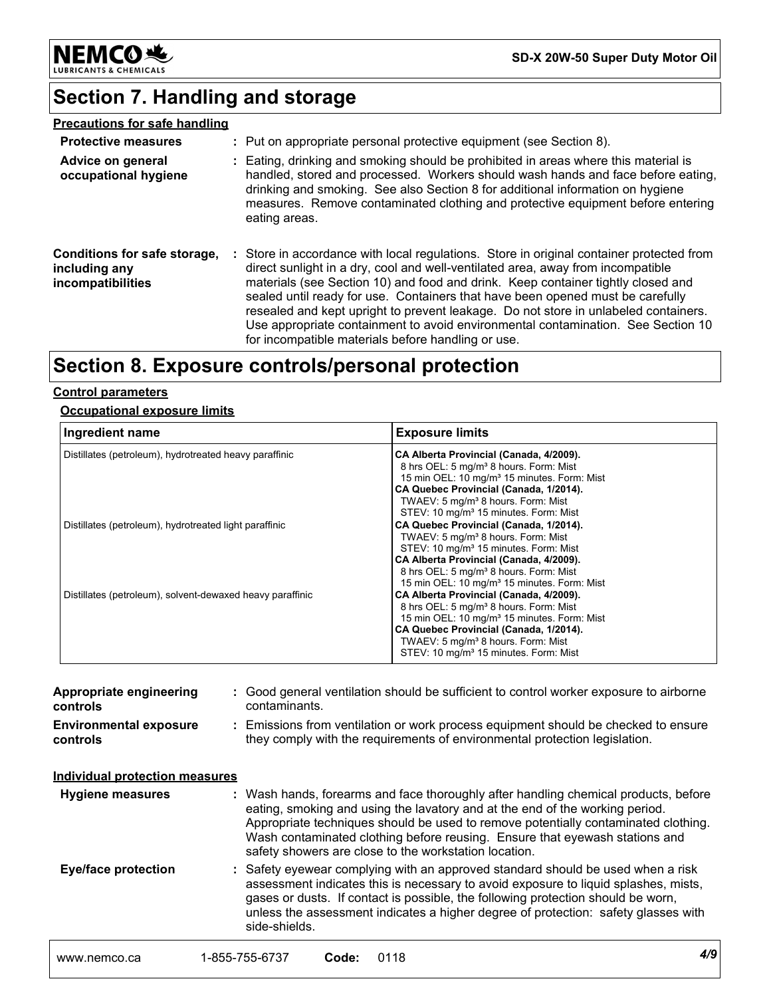

**SD-X 20W-50 Super Duty Motor Oil**

## **Section 7. Handling and storage**

| <b>Precautions for safe handling</b>                               |                                                                                                                                                                                                                                                                                                                                                                                                                                                                                                                                                                                    |
|--------------------------------------------------------------------|------------------------------------------------------------------------------------------------------------------------------------------------------------------------------------------------------------------------------------------------------------------------------------------------------------------------------------------------------------------------------------------------------------------------------------------------------------------------------------------------------------------------------------------------------------------------------------|
| <b>Protective measures</b>                                         | : Put on appropriate personal protective equipment (see Section 8).                                                                                                                                                                                                                                                                                                                                                                                                                                                                                                                |
| Advice on general<br>occupational hygiene                          | : Eating, drinking and smoking should be prohibited in areas where this material is<br>handled, stored and processed. Workers should wash hands and face before eating,<br>drinking and smoking. See also Section 8 for additional information on hygiene<br>measures. Remove contaminated clothing and protective equipment before entering<br>eating areas.                                                                                                                                                                                                                      |
| Conditions for safe storage,<br>including any<br>incompatibilities | : Store in accordance with local regulations. Store in original container protected from<br>direct sunlight in a dry, cool and well-ventilated area, away from incompatible<br>materials (see Section 10) and food and drink. Keep container tightly closed and<br>sealed until ready for use. Containers that have been opened must be carefully<br>resealed and kept upright to prevent leakage. Do not store in unlabeled containers.<br>Use appropriate containment to avoid environmental contamination. See Section 10<br>for incompatible materials before handling or use. |

## **Section 8. Exposure controls/personal protection**

#### **Control parameters**

#### **Occupational exposure limits**

| Ingredient name                                           | <b>Exposure limits</b>                                                                                                                                                                                                                                                                                    |
|-----------------------------------------------------------|-----------------------------------------------------------------------------------------------------------------------------------------------------------------------------------------------------------------------------------------------------------------------------------------------------------|
| Distillates (petroleum), hydrotreated heavy paraffinic    | CA Alberta Provincial (Canada, 4/2009).<br>8 hrs OEL: 5 mg/m <sup>3</sup> 8 hours. Form: Mist<br>15 min OEL: 10 mg/m <sup>3</sup> 15 minutes. Form: Mist<br>CA Quebec Provincial (Canada, 1/2014).<br>TWAEV: 5 mg/m <sup>3</sup> 8 hours. Form: Mist<br>STEV: 10 mg/m <sup>3</sup> 15 minutes. Form: Mist |
| Distillates (petroleum), hydrotreated light paraffinic    | CA Quebec Provincial (Canada, 1/2014).<br>TWAEV: 5 mg/m <sup>3</sup> 8 hours. Form: Mist<br>STEV: 10 mg/m <sup>3</sup> 15 minutes. Form: Mist<br>CA Alberta Provincial (Canada, 4/2009).<br>8 hrs OEL: 5 mg/m <sup>3</sup> 8 hours. Form: Mist<br>15 min OEL: 10 mg/m <sup>3</sup> 15 minutes. Form: Mist |
| Distillates (petroleum), solvent-dewaxed heavy paraffinic | CA Alberta Provincial (Canada, 4/2009).<br>8 hrs OEL: 5 mg/m <sup>3</sup> 8 hours. Form: Mist<br>15 min OEL: 10 mg/m <sup>3</sup> 15 minutes. Form: Mist<br>CA Quebec Provincial (Canada, 1/2014).<br>TWAEV: 5 mg/m <sup>3</sup> 8 hours. Form: Mist<br>STEV: 10 mg/m <sup>3</sup> 15 minutes. Form: Mist |

| Appropriate engineering<br>controls       | : Good general ventilation should be sufficient to control worker exposure to airborne<br>contaminants.                                                                                                                                                                                                                                                                                           |
|-------------------------------------------|---------------------------------------------------------------------------------------------------------------------------------------------------------------------------------------------------------------------------------------------------------------------------------------------------------------------------------------------------------------------------------------------------|
| <b>Environmental exposure</b><br>controls | : Emissions from ventilation or work process equipment should be checked to ensure<br>they comply with the requirements of environmental protection legislation.                                                                                                                                                                                                                                  |
| <b>Individual protection measures</b>     |                                                                                                                                                                                                                                                                                                                                                                                                   |
| <b>Hygiene measures</b>                   | : Wash hands, forearms and face thoroughly after handling chemical products, before<br>eating, smoking and using the lavatory and at the end of the working period.<br>Appropriate techniques should be used to remove potentially contaminated clothing.<br>Wash contaminated clothing before reusing. Ensure that eyewash stations and<br>safety showers are close to the workstation location. |
| <b>Eye/face protection</b>                | : Safety eyewear complying with an approved standard should be used when a risk<br>assessment indicates this is necessary to avoid exposure to liquid splashes, mists,<br>gases or dusts. If contact is possible, the following protection should be worn,<br>unless the assessment indicates a higher degree of protection: safety glasses with<br>side-shields.                                 |
| www.nemco.ca                              | 4/9<br>1-855-755-6737<br>0118<br>Code:                                                                                                                                                                                                                                                                                                                                                            |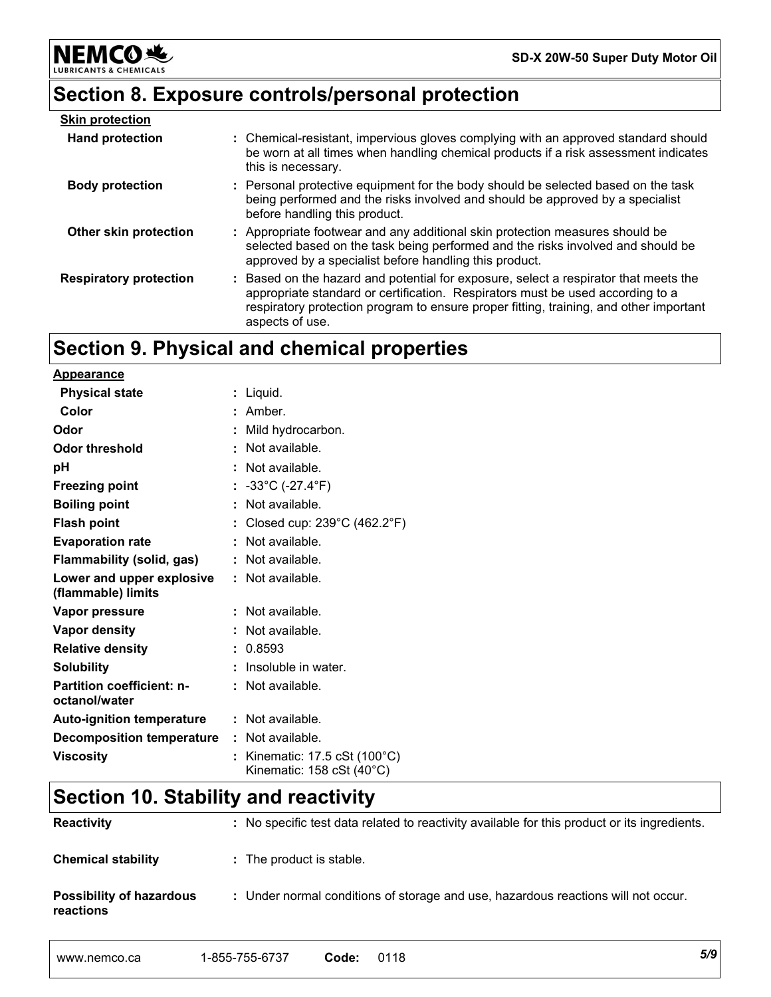# **Section 8. Exposure controls/personal protection**

**NEMCO头** 

**& CHEMICALS** 

LUBRIC

| <b>Skin protection</b>        |                                                                                                                                                                                                                                                                                     |
|-------------------------------|-------------------------------------------------------------------------------------------------------------------------------------------------------------------------------------------------------------------------------------------------------------------------------------|
| <b>Hand protection</b>        | : Chemical-resistant, impervious gloves complying with an approved standard should<br>be worn at all times when handling chemical products if a risk assessment indicates<br>this is necessary.                                                                                     |
| <b>Body protection</b>        | : Personal protective equipment for the body should be selected based on the task<br>being performed and the risks involved and should be approved by a specialist<br>before handling this product.                                                                                 |
| Other skin protection         | : Appropriate footwear and any additional skin protection measures should be<br>selected based on the task being performed and the risks involved and should be<br>approved by a specialist before handling this product.                                                           |
| <b>Respiratory protection</b> | : Based on the hazard and potential for exposure, select a respirator that meets the<br>appropriate standard or certification. Respirators must be used according to a<br>respiratory protection program to ensure proper fitting, training, and other important<br>aspects of use. |

## **Section 9. Physical and chemical properties**

| <u>Appearance</u>                                 |    |                                                          |
|---------------------------------------------------|----|----------------------------------------------------------|
| <b>Physical state</b>                             |    | : Liquid.                                                |
| Color                                             |    | $:$ Amber.                                               |
| Odor                                              |    | : Mild hydrocarbon.                                      |
| Odor threshold                                    |    | : Not available.                                         |
| рH                                                |    | : Not available.                                         |
| <b>Freezing point</b>                             |    | : $-33^{\circ}$ C ( $-27.4^{\circ}$ F)                   |
| <b>Boiling point</b>                              |    | : Not available.                                         |
| <b>Flash point</b>                                |    | Closed cup: $239^{\circ}$ C (462.2°F)                    |
| <b>Evaporation rate</b>                           |    | : Not available.                                         |
| Flammability (solid, gas)                         |    | : Not available.                                         |
| Lower and upper explosive<br>(flammable) limits   |    | : Not available.                                         |
| Vapor pressure                                    |    | : Not available.                                         |
| Vapor density                                     |    | : Not available.                                         |
| <b>Relative density</b>                           |    | 0.8593                                                   |
| <b>Solubility</b>                                 |    | Insoluble in water.                                      |
| <b>Partition coefficient: n-</b><br>octanol/water |    | : Not available.                                         |
| <b>Auto-ignition temperature</b>                  |    | : Not available.                                         |
| <b>Decomposition temperature</b>                  |    | : Not available.                                         |
| <b>Viscosity</b>                                  | ÷. | Kinematic: 17.5 cSt (100°C)<br>Kinematic: 158 cSt (40°C) |

## **Section 10. Stability and reactivity**

| <b>Reactivity</b>                            | : No specific test data related to reactivity available for this product or its ingredients. |
|----------------------------------------------|----------------------------------------------------------------------------------------------|
| <b>Chemical stability</b>                    | : The product is stable.                                                                     |
| <b>Possibility of hazardous</b><br>reactions | : Under normal conditions of storage and use, hazardous reactions will not occur.            |

|  | www.nemco.ca | 1-855-755-6737<br>່ ບລວ-<br>. പാ-ന<br>≀ט וט | Code | .<br>11،<br>1۵ | 5/9 |
|--|--------------|---------------------------------------------|------|----------------|-----|
|--|--------------|---------------------------------------------|------|----------------|-----|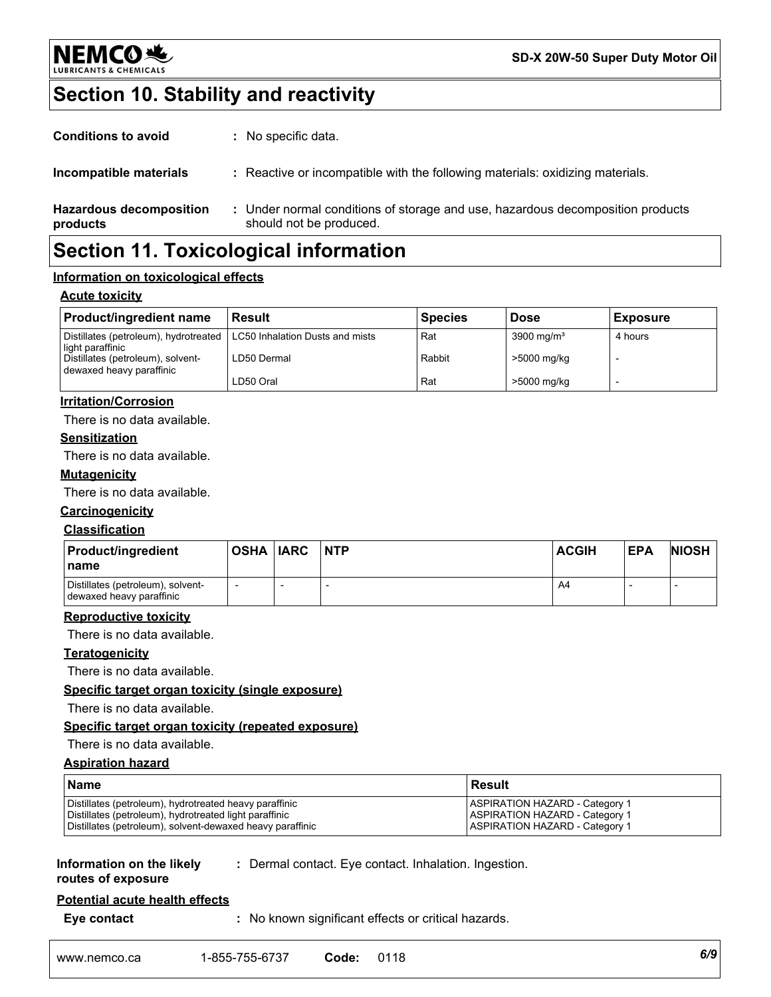

## **Section 10. Stability and reactivity**

| <b>Conditions to avoid</b>                 | : No specific data.                                                                                       |
|--------------------------------------------|-----------------------------------------------------------------------------------------------------------|
| Incompatible materials                     | : Reactive or incompatible with the following materials: oxidizing materials.                             |
| <b>Hazardous decomposition</b><br>products | : Under normal conditions of storage and use, hazardous decomposition products<br>should not be produced. |
|                                            |                                                                                                           |

## **Section 11. Toxicological information**

#### **Information on toxicological effects**

#### **Acute toxicity**

| <b>Product/ingredient name</b>                                                              | <b>Result</b> | <b>Species</b> | <b>Dose</b>            | <b>Exposure</b> |
|---------------------------------------------------------------------------------------------|---------------|----------------|------------------------|-----------------|
| Distillates (petroleum), hydrotreated   LC50 Inhalation Dusts and mists<br>light paraffinic |               | Rat            | 3900 mg/m <sup>3</sup> | 4 hours         |
| Distillates (petroleum), solvent-<br>dewaxed heavy paraffinic                               | LD50 Dermal   | Rabbit         | >5000 mg/kg            |                 |
|                                                                                             | LD50 Oral     | Rat            | >5000 mg/kg            |                 |

#### **Irritation/Corrosion**

There is no data available.

#### **Sensitization**

There is no data available.

#### **Mutagenicity**

There is no data available.

#### **Carcinogenicity**

#### **Classification**

| <b>Product/ingredient</b><br>l name                           | OSHA  IARC | <b>NTP</b> | <b>ACGIH</b> | <b>EPA</b> | <b>NIOSH</b> |
|---------------------------------------------------------------|------------|------------|--------------|------------|--------------|
| Distillates (petroleum), solvent-<br>dewaxed heavy paraffinic |            |            | A4           |            |              |

#### **Reproductive toxicity**

There is no data available.

#### **Teratogenicity**

There is no data available.

#### **Specific target organ toxicity (single exposure)**

There is no data available.

#### **Specific target organ toxicity (repeated exposure)**

#### There is no data available.

#### **Aspiration hazard**

| <b>Name</b>                                               | l Result                              |
|-----------------------------------------------------------|---------------------------------------|
| Distillates (petroleum), hydrotreated heavy paraffinic    | <b>ASPIRATION HAZARD - Category 1</b> |
| Distillates (petroleum), hydrotreated light paraffinic    | <b>ASPIRATION HAZARD - Category 1</b> |
| Distillates (petroleum), solvent-dewaxed heavy paraffinic | <b>ASPIRATION HAZARD - Category 1</b> |

#### **Information on the likely routes of exposure**

**:** Dermal contact. Eye contact. Inhalation. Ingestion.

## **Potential acute health effects**

**Eye contact :** No known significant effects or critical hazards.

| 1-855-755-6737<br>0118<br>Code | www.nemco.ca |  |  |  | 6/9 |  |  |
|--------------------------------|--------------|--|--|--|-----|--|--|
|--------------------------------|--------------|--|--|--|-----|--|--|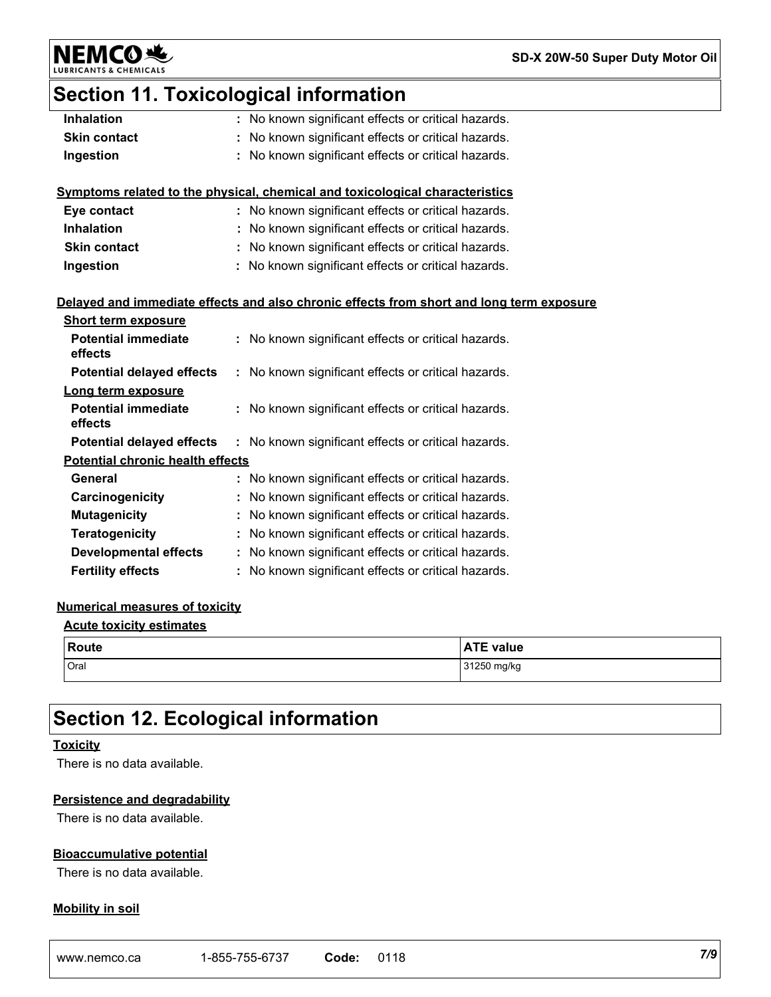**NEMCO 地** LUBRIC

**SD-X 20W-50 Super Duty Motor Oil**

## **Section 11. Toxicological information**

| <b>Inhalation</b>                       | : No known significant effects or critical hazards.                                      |
|-----------------------------------------|------------------------------------------------------------------------------------------|
| <b>Skin contact</b>                     | No known significant effects or critical hazards.                                        |
| Ingestion                               | No known significant effects or critical hazards.                                        |
|                                         |                                                                                          |
|                                         | Symptoms related to the physical, chemical and toxicological characteristics             |
| Eye contact                             | : No known significant effects or critical hazards.                                      |
| <b>Inhalation</b>                       | : No known significant effects or critical hazards.                                      |
| <b>Skin contact</b>                     | : No known significant effects or critical hazards.                                      |
| Ingestion                               | No known significant effects or critical hazards.                                        |
|                                         |                                                                                          |
|                                         | Delayed and immediate effects and also chronic effects from short and long term exposure |
| <b>Short term exposure</b>              |                                                                                          |
| <b>Potential immediate</b>              | : No known significant effects or critical hazards.                                      |
| effects                                 |                                                                                          |
| <b>Potential delayed effects</b>        | : No known significant effects or critical hazards.                                      |
| Long term exposure                      |                                                                                          |
| <b>Potential immediate</b>              | : No known significant effects or critical hazards.                                      |
| effects                                 |                                                                                          |
| <b>Potential delayed effects</b>        | : No known significant effects or critical hazards.                                      |
| <b>Potential chronic health effects</b> |                                                                                          |
| General                                 | : No known significant effects or critical hazards.                                      |
| Carcinogenicity                         | No known significant effects or critical hazards.                                        |
| <b>Mutagenicity</b>                     | : No known significant effects or critical hazards.                                      |
| Teratogenicity                          | : No known significant effects or critical hazards.                                      |
| <b>Developmental effects</b>            | : No known significant effects or critical hazards.                                      |
| <b>Fertility effects</b>                | : No known significant effects or critical hazards.                                      |

#### **Numerical measures of toxicity**

| <b>Acute toxicity estimates</b> |  |
|---------------------------------|--|
|                                 |  |

| <b>Route</b> | <b>ATE value</b> |
|--------------|------------------|
| Oral         | 31250 mg/kg      |

## **Section 12. Ecological information**

#### **Toxicity**

There is no data available.

#### **Persistence and degradability**

There is no data available.

#### **Bioaccumulative potential**

There is no data available.

#### **Mobility in soil**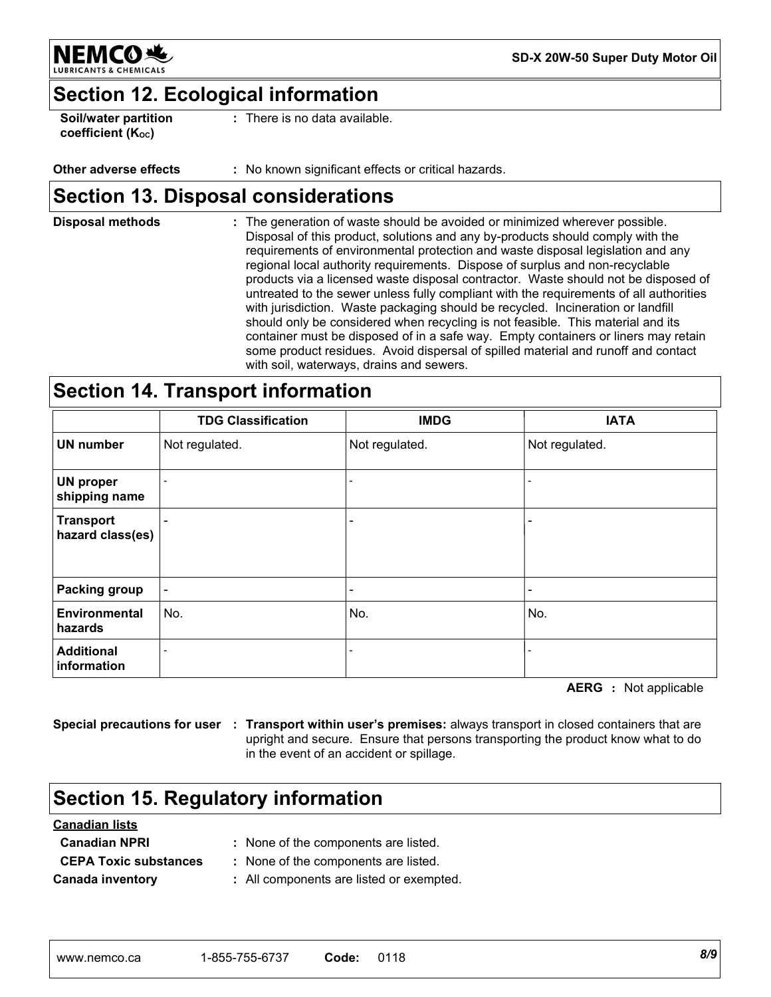

**SD-X 20W-50 Super Duty Motor Oil**

## **Section 12. Ecological information**

**Soil/water partition coefficient (KOC)**

**:** There is no data available.

#### **Other adverse effects :** No known significant effects or critical hazards.

## **Section 13. Disposal considerations**

The generation of waste should be avoided or minimized wherever possible. Disposal of this product, solutions and any by-products should comply with the requirements of environmental protection and waste disposal legislation and any regional local authority requirements. Dispose of surplus and non-recyclable products via a licensed waste disposal contractor. Waste should not be disposed of untreated to the sewer unless fully compliant with the requirements of all authorities with jurisdiction. Waste packaging should be recycled. Incineration or landfill should only be considered when recycling is not feasible. This material and its container must be disposed of in a safe way. Empty containers or liners may retain some product residues. Avoid dispersal of spilled material and runoff and contact with soil, waterways, drains and sewers. **Disposal methods :**

## **Section 14. Transport information**

|                                      | <b>TDG Classification</b> | <b>IMDG</b>    | <b>IATA</b>              |
|--------------------------------------|---------------------------|----------------|--------------------------|
| <b>UN number</b>                     | Not regulated.            | Not regulated. | Not regulated.           |
| <b>UN proper</b><br>shipping name    |                           |                |                          |
| <b>Transport</b><br>hazard class(es) |                           |                | $\overline{\phantom{0}}$ |
| <b>Packing group</b>                 |                           |                | $\overline{a}$           |
| Environmental<br>hazards             | No.                       | No.            | No.                      |
| <b>Additional</b><br>information     |                           |                | $\overline{\phantom{a}}$ |

**AERG :** Not applicable

**Special precautions for user : Transport within user's premises:** always transport in closed containers that are upright and secure. Ensure that persons transporting the product know what to do in the event of an accident or spillage.

## **Section 15. Regulatory information**

| <b>Canadian lists</b>        |                                          |
|------------------------------|------------------------------------------|
| <b>Canadian NPRI</b>         | : None of the components are listed.     |
| <b>CEPA Toxic substances</b> | : None of the components are listed.     |
| <b>Canada inventory</b>      | : All components are listed or exempted. |